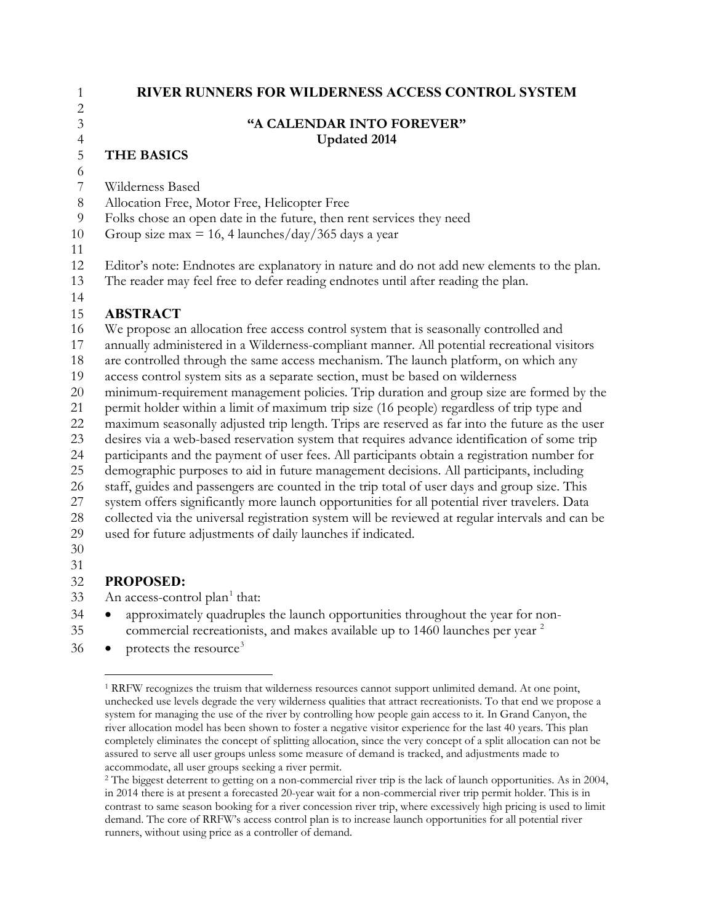<span id="page-0-2"></span>

| $\mathfrak{Z}$<br>"A CALENDAR INTO FOREVER"<br><b>Updated 2014</b><br>$\overline{4}$<br>5<br><b>THE BASICS</b><br>6<br>$\overline{7}$<br>Wilderness Based<br>Allocation Free, Motor Free, Helicopter Free<br>$8\phantom{1}$<br>Folks chose an open date in the future, then rent services they need<br>9<br>Group size max = 16, 4 launches/day/365 days a year<br>Editor's note: Endnotes are explanatory in nature and do not add new elements to the plan.<br>The reader may feel free to defer reading endnotes until after reading the plan.<br><b>ABSTRACT</b><br>We propose an allocation free access control system that is seasonally controlled and<br>annually administered in a Wilderness-compliant manner. All potential recreational visitors<br>are controlled through the same access mechanism. The launch platform, on which any<br>access control system sits as a separate section, must be based on wilderness<br>minimum-requirement management policies. Trip duration and group size are formed by the<br>permit holder within a limit of maximum trip size (16 people) regardless of trip type and<br>maximum seasonally adjusted trip length. Trips are reserved as far into the future as the user<br>desires via a web-based reservation system that requires advance identification of some trip<br>participants and the payment of user fees. All participants obtain a registration number for<br>demographic purposes to aid in future management decisions. All participants, including<br>staff, guides and passengers are counted in the trip total of user days and group size. This<br>system offers significantly more launch opportunities for all potential river travelers. Data<br>collected via the universal registration system will be reviewed at regular intervals and can be<br>used for future adjustments of daily launches if indicated.<br><b>PROPOSED:</b><br>An access-control plan <sup>1</sup> that:<br>approximately quadruples the launch opportunities throughout the year for non-<br>commercial recreationists, and makes available up to 1460 launches per year <sup>2</sup><br>protects the resource <sup>3</sup><br>$\bullet$ | $\overline{c}$ |  |  |
|-------------------------------------------------------------------------------------------------------------------------------------------------------------------------------------------------------------------------------------------------------------------------------------------------------------------------------------------------------------------------------------------------------------------------------------------------------------------------------------------------------------------------------------------------------------------------------------------------------------------------------------------------------------------------------------------------------------------------------------------------------------------------------------------------------------------------------------------------------------------------------------------------------------------------------------------------------------------------------------------------------------------------------------------------------------------------------------------------------------------------------------------------------------------------------------------------------------------------------------------------------------------------------------------------------------------------------------------------------------------------------------------------------------------------------------------------------------------------------------------------------------------------------------------------------------------------------------------------------------------------------------------------------------------------------------------------------------------------------------------------------------------------------------------------------------------------------------------------------------------------------------------------------------------------------------------------------------------------------------------------------------------------------------------------------------------------------------------------------------------------------------------------------------------------------------------------|----------------|--|--|
|                                                                                                                                                                                                                                                                                                                                                                                                                                                                                                                                                                                                                                                                                                                                                                                                                                                                                                                                                                                                                                                                                                                                                                                                                                                                                                                                                                                                                                                                                                                                                                                                                                                                                                                                                                                                                                                                                                                                                                                                                                                                                                                                                                                                 |                |  |  |
|                                                                                                                                                                                                                                                                                                                                                                                                                                                                                                                                                                                                                                                                                                                                                                                                                                                                                                                                                                                                                                                                                                                                                                                                                                                                                                                                                                                                                                                                                                                                                                                                                                                                                                                                                                                                                                                                                                                                                                                                                                                                                                                                                                                                 |                |  |  |
|                                                                                                                                                                                                                                                                                                                                                                                                                                                                                                                                                                                                                                                                                                                                                                                                                                                                                                                                                                                                                                                                                                                                                                                                                                                                                                                                                                                                                                                                                                                                                                                                                                                                                                                                                                                                                                                                                                                                                                                                                                                                                                                                                                                                 |                |  |  |
|                                                                                                                                                                                                                                                                                                                                                                                                                                                                                                                                                                                                                                                                                                                                                                                                                                                                                                                                                                                                                                                                                                                                                                                                                                                                                                                                                                                                                                                                                                                                                                                                                                                                                                                                                                                                                                                                                                                                                                                                                                                                                                                                                                                                 |                |  |  |
|                                                                                                                                                                                                                                                                                                                                                                                                                                                                                                                                                                                                                                                                                                                                                                                                                                                                                                                                                                                                                                                                                                                                                                                                                                                                                                                                                                                                                                                                                                                                                                                                                                                                                                                                                                                                                                                                                                                                                                                                                                                                                                                                                                                                 |                |  |  |
|                                                                                                                                                                                                                                                                                                                                                                                                                                                                                                                                                                                                                                                                                                                                                                                                                                                                                                                                                                                                                                                                                                                                                                                                                                                                                                                                                                                                                                                                                                                                                                                                                                                                                                                                                                                                                                                                                                                                                                                                                                                                                                                                                                                                 |                |  |  |
|                                                                                                                                                                                                                                                                                                                                                                                                                                                                                                                                                                                                                                                                                                                                                                                                                                                                                                                                                                                                                                                                                                                                                                                                                                                                                                                                                                                                                                                                                                                                                                                                                                                                                                                                                                                                                                                                                                                                                                                                                                                                                                                                                                                                 |                |  |  |
| 11                                                                                                                                                                                                                                                                                                                                                                                                                                                                                                                                                                                                                                                                                                                                                                                                                                                                                                                                                                                                                                                                                                                                                                                                                                                                                                                                                                                                                                                                                                                                                                                                                                                                                                                                                                                                                                                                                                                                                                                                                                                                                                                                                                                              | 10             |  |  |
|                                                                                                                                                                                                                                                                                                                                                                                                                                                                                                                                                                                                                                                                                                                                                                                                                                                                                                                                                                                                                                                                                                                                                                                                                                                                                                                                                                                                                                                                                                                                                                                                                                                                                                                                                                                                                                                                                                                                                                                                                                                                                                                                                                                                 |                |  |  |
| 13<br>14<br>15<br>16<br>17<br>18<br>19<br>20<br>21<br>22<br>23<br>24<br>25<br>26<br>27<br>28<br>29<br>30<br>31<br>32<br>33<br>34<br>35<br>36                                                                                                                                                                                                                                                                                                                                                                                                                                                                                                                                                                                                                                                                                                                                                                                                                                                                                                                                                                                                                                                                                                                                                                                                                                                                                                                                                                                                                                                                                                                                                                                                                                                                                                                                                                                                                                                                                                                                                                                                                                                    | 12             |  |  |
|                                                                                                                                                                                                                                                                                                                                                                                                                                                                                                                                                                                                                                                                                                                                                                                                                                                                                                                                                                                                                                                                                                                                                                                                                                                                                                                                                                                                                                                                                                                                                                                                                                                                                                                                                                                                                                                                                                                                                                                                                                                                                                                                                                                                 |                |  |  |
|                                                                                                                                                                                                                                                                                                                                                                                                                                                                                                                                                                                                                                                                                                                                                                                                                                                                                                                                                                                                                                                                                                                                                                                                                                                                                                                                                                                                                                                                                                                                                                                                                                                                                                                                                                                                                                                                                                                                                                                                                                                                                                                                                                                                 |                |  |  |
|                                                                                                                                                                                                                                                                                                                                                                                                                                                                                                                                                                                                                                                                                                                                                                                                                                                                                                                                                                                                                                                                                                                                                                                                                                                                                                                                                                                                                                                                                                                                                                                                                                                                                                                                                                                                                                                                                                                                                                                                                                                                                                                                                                                                 |                |  |  |
|                                                                                                                                                                                                                                                                                                                                                                                                                                                                                                                                                                                                                                                                                                                                                                                                                                                                                                                                                                                                                                                                                                                                                                                                                                                                                                                                                                                                                                                                                                                                                                                                                                                                                                                                                                                                                                                                                                                                                                                                                                                                                                                                                                                                 |                |  |  |
|                                                                                                                                                                                                                                                                                                                                                                                                                                                                                                                                                                                                                                                                                                                                                                                                                                                                                                                                                                                                                                                                                                                                                                                                                                                                                                                                                                                                                                                                                                                                                                                                                                                                                                                                                                                                                                                                                                                                                                                                                                                                                                                                                                                                 |                |  |  |
|                                                                                                                                                                                                                                                                                                                                                                                                                                                                                                                                                                                                                                                                                                                                                                                                                                                                                                                                                                                                                                                                                                                                                                                                                                                                                                                                                                                                                                                                                                                                                                                                                                                                                                                                                                                                                                                                                                                                                                                                                                                                                                                                                                                                 |                |  |  |
|                                                                                                                                                                                                                                                                                                                                                                                                                                                                                                                                                                                                                                                                                                                                                                                                                                                                                                                                                                                                                                                                                                                                                                                                                                                                                                                                                                                                                                                                                                                                                                                                                                                                                                                                                                                                                                                                                                                                                                                                                                                                                                                                                                                                 |                |  |  |
|                                                                                                                                                                                                                                                                                                                                                                                                                                                                                                                                                                                                                                                                                                                                                                                                                                                                                                                                                                                                                                                                                                                                                                                                                                                                                                                                                                                                                                                                                                                                                                                                                                                                                                                                                                                                                                                                                                                                                                                                                                                                                                                                                                                                 |                |  |  |
|                                                                                                                                                                                                                                                                                                                                                                                                                                                                                                                                                                                                                                                                                                                                                                                                                                                                                                                                                                                                                                                                                                                                                                                                                                                                                                                                                                                                                                                                                                                                                                                                                                                                                                                                                                                                                                                                                                                                                                                                                                                                                                                                                                                                 |                |  |  |
|                                                                                                                                                                                                                                                                                                                                                                                                                                                                                                                                                                                                                                                                                                                                                                                                                                                                                                                                                                                                                                                                                                                                                                                                                                                                                                                                                                                                                                                                                                                                                                                                                                                                                                                                                                                                                                                                                                                                                                                                                                                                                                                                                                                                 |                |  |  |
|                                                                                                                                                                                                                                                                                                                                                                                                                                                                                                                                                                                                                                                                                                                                                                                                                                                                                                                                                                                                                                                                                                                                                                                                                                                                                                                                                                                                                                                                                                                                                                                                                                                                                                                                                                                                                                                                                                                                                                                                                                                                                                                                                                                                 |                |  |  |
|                                                                                                                                                                                                                                                                                                                                                                                                                                                                                                                                                                                                                                                                                                                                                                                                                                                                                                                                                                                                                                                                                                                                                                                                                                                                                                                                                                                                                                                                                                                                                                                                                                                                                                                                                                                                                                                                                                                                                                                                                                                                                                                                                                                                 |                |  |  |
|                                                                                                                                                                                                                                                                                                                                                                                                                                                                                                                                                                                                                                                                                                                                                                                                                                                                                                                                                                                                                                                                                                                                                                                                                                                                                                                                                                                                                                                                                                                                                                                                                                                                                                                                                                                                                                                                                                                                                                                                                                                                                                                                                                                                 |                |  |  |
|                                                                                                                                                                                                                                                                                                                                                                                                                                                                                                                                                                                                                                                                                                                                                                                                                                                                                                                                                                                                                                                                                                                                                                                                                                                                                                                                                                                                                                                                                                                                                                                                                                                                                                                                                                                                                                                                                                                                                                                                                                                                                                                                                                                                 |                |  |  |
|                                                                                                                                                                                                                                                                                                                                                                                                                                                                                                                                                                                                                                                                                                                                                                                                                                                                                                                                                                                                                                                                                                                                                                                                                                                                                                                                                                                                                                                                                                                                                                                                                                                                                                                                                                                                                                                                                                                                                                                                                                                                                                                                                                                                 |                |  |  |
|                                                                                                                                                                                                                                                                                                                                                                                                                                                                                                                                                                                                                                                                                                                                                                                                                                                                                                                                                                                                                                                                                                                                                                                                                                                                                                                                                                                                                                                                                                                                                                                                                                                                                                                                                                                                                                                                                                                                                                                                                                                                                                                                                                                                 |                |  |  |
|                                                                                                                                                                                                                                                                                                                                                                                                                                                                                                                                                                                                                                                                                                                                                                                                                                                                                                                                                                                                                                                                                                                                                                                                                                                                                                                                                                                                                                                                                                                                                                                                                                                                                                                                                                                                                                                                                                                                                                                                                                                                                                                                                                                                 |                |  |  |
|                                                                                                                                                                                                                                                                                                                                                                                                                                                                                                                                                                                                                                                                                                                                                                                                                                                                                                                                                                                                                                                                                                                                                                                                                                                                                                                                                                                                                                                                                                                                                                                                                                                                                                                                                                                                                                                                                                                                                                                                                                                                                                                                                                                                 |                |  |  |
|                                                                                                                                                                                                                                                                                                                                                                                                                                                                                                                                                                                                                                                                                                                                                                                                                                                                                                                                                                                                                                                                                                                                                                                                                                                                                                                                                                                                                                                                                                                                                                                                                                                                                                                                                                                                                                                                                                                                                                                                                                                                                                                                                                                                 |                |  |  |
|                                                                                                                                                                                                                                                                                                                                                                                                                                                                                                                                                                                                                                                                                                                                                                                                                                                                                                                                                                                                                                                                                                                                                                                                                                                                                                                                                                                                                                                                                                                                                                                                                                                                                                                                                                                                                                                                                                                                                                                                                                                                                                                                                                                                 |                |  |  |
|                                                                                                                                                                                                                                                                                                                                                                                                                                                                                                                                                                                                                                                                                                                                                                                                                                                                                                                                                                                                                                                                                                                                                                                                                                                                                                                                                                                                                                                                                                                                                                                                                                                                                                                                                                                                                                                                                                                                                                                                                                                                                                                                                                                                 |                |  |  |
|                                                                                                                                                                                                                                                                                                                                                                                                                                                                                                                                                                                                                                                                                                                                                                                                                                                                                                                                                                                                                                                                                                                                                                                                                                                                                                                                                                                                                                                                                                                                                                                                                                                                                                                                                                                                                                                                                                                                                                                                                                                                                                                                                                                                 |                |  |  |
|                                                                                                                                                                                                                                                                                                                                                                                                                                                                                                                                                                                                                                                                                                                                                                                                                                                                                                                                                                                                                                                                                                                                                                                                                                                                                                                                                                                                                                                                                                                                                                                                                                                                                                                                                                                                                                                                                                                                                                                                                                                                                                                                                                                                 |                |  |  |
|                                                                                                                                                                                                                                                                                                                                                                                                                                                                                                                                                                                                                                                                                                                                                                                                                                                                                                                                                                                                                                                                                                                                                                                                                                                                                                                                                                                                                                                                                                                                                                                                                                                                                                                                                                                                                                                                                                                                                                                                                                                                                                                                                                                                 |                |  |  |
|                                                                                                                                                                                                                                                                                                                                                                                                                                                                                                                                                                                                                                                                                                                                                                                                                                                                                                                                                                                                                                                                                                                                                                                                                                                                                                                                                                                                                                                                                                                                                                                                                                                                                                                                                                                                                                                                                                                                                                                                                                                                                                                                                                                                 |                |  |  |

**RIVER RUNNERS FOR WILDERNESS ACCESS CONTROL SYSTEM**

<span id="page-0-0"></span> RRFW recognizes the truism that wilderness resources cannot support unlimited demand. At one point, unchecked use levels degrade the very wilderness qualities that attract recreationists. To that end we propose a system for managing the use of the river by controlling how people gain access to it. In Grand Canyon, the river allocation model has been shown to foster a negative visitor experience for the last 40 years. This plan completely eliminates the concept of splitting allocation, since the very concept of a split allocation can not be assured to serve all user groups unless some measure of demand is tracked, and adjustments made to accommodate, all user groups seeking a river permit.

<span id="page-0-1"></span><sup>&</sup>lt;sup>2</sup> The biggest deterrent to getting on a non-commercial river trip is the lack of launch opportunities. As in 2004, in 2014 there is at present a forecasted 20-year wait for a non-commercial river trip permit holder. This is in contrast to same season booking for a river concession river trip, where excessively high pricing is used to limit demand. The core of RRFW's access control plan is to increase launch opportunities for all potential river runners, without using price as a controller of demand.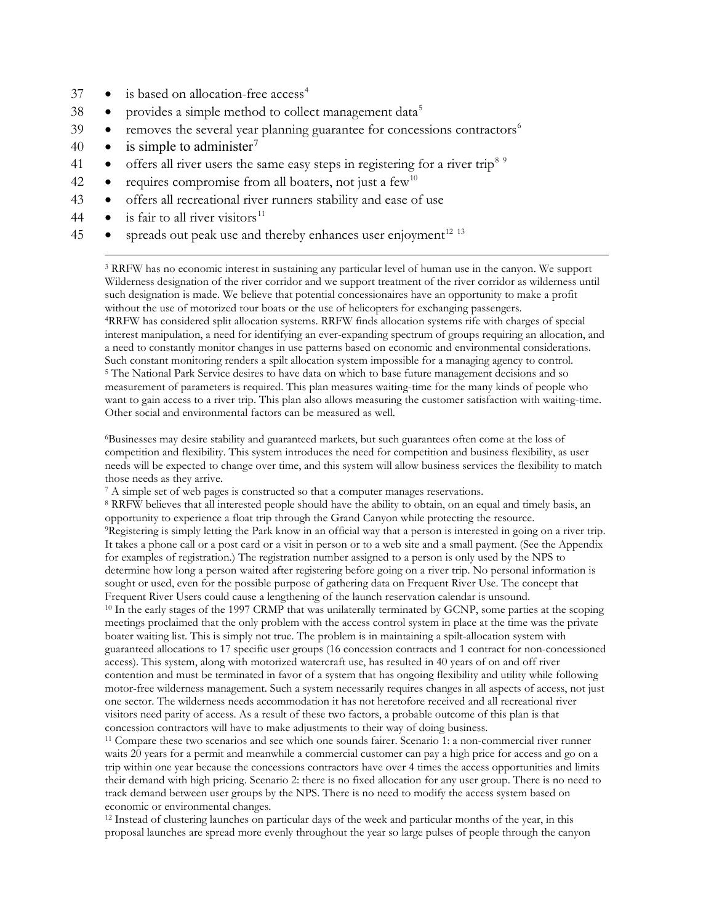- $37 \bullet$  is based on allocation-free access<sup>[4](#page-1-0)</sup>
- $\bullet$  provides a simple method to collect management data<sup>[5](#page-1-1)</sup>
- $\bullet$  removes the several year planning guarantee for concessions contractors<sup>[6](#page-1-2)</sup>
- 40 is simple to administer<sup>[7](#page-1-3)</sup>
- $\bullet$  offers all river users the same easy steps in registering for a river trip<sup>[8](#page-1-4) [9](#page-1-5)</sup>
- $\bullet$  requires compromise from all boaters, not just a few<sup>[10](#page-1-6)</sup>
- 43 offers all recreational river runners stability and ease of use
- 44 is fair to all river visitors<sup>[11](#page-1-7)</sup>
- <span id="page-1-0"></span> $\bullet$  spreads out peak use and thereby enhances user enjoyment<sup>[12](#page-1-8) [13](#page-1-4)</sup>

 3 RRFW has no economic interest in sustaining any particular level of human use in the canyon. We support Wilderness designation of the river corridor and we support treatment of the river corridor as wilderness until such designation is made. We believe that potential concessionaires have an opportunity to make a profit without the use of motorized tour boats or the use of helicopters for exchanging passengers. 4RRFW has considered split allocation systems. RRFW finds allocation systems rife with charges of special interest manipulation, a need for identifying an ever-expanding spectrum of groups requiring an allocation, and a need to constantly monitor changes in use patterns based on economic and environmental considerations. Such constant monitoring renders a spilt allocation system impossible for a managing agency to control. <sup>5</sup> The National Park Service desires to have data on which to base future management decisions and so measurement of parameters is required. This plan measures waiting-time for the many kinds of people who want to gain access to a river trip. This plan also allows measuring the customer satisfaction with waiting-time. Other social and environmental factors can be measured as well.

<span id="page-1-2"></span><span id="page-1-1"></span>6Businesses may desire stability and guaranteed markets, but such guarantees often come at the loss of competition and flexibility. This system introduces the need for competition and business flexibility, as user needs will be expected to change over time, and this system will allow business services the flexibility to match those needs as they arrive.

<span id="page-1-6"></span><span id="page-1-5"></span><span id="page-1-4"></span>

<span id="page-1-3"></span> $^7$  A simple set of web pages is constructed so that a computer manages reservations.<br>8 RRFW believes that all interested people should have the ability to obtain, on an equal and timely basis, an opportunity to experience a float trip through the Grand Canyon while protecting the resource. 9Registering is simply letting the Park know in an official way that a person is interested in going on a river trip. It takes a phone call or a post card or a visit in person or to a web site and a small payment. (See the Appendix for examples of registration.) The registration number assigned to a person is only used by the NPS to determine how long a person waited after registering before going on a river trip. No personal information is sought or used, even for the possible purpose of gathering data on Frequent River Use. The concept that Frequent River Users could cause a lengthening of the launch reservation calendar is unsound.<br><sup>10</sup> In the early stages of the 1997 CRMP that was unilaterally terminated by GCNP, some parties at the scoping meetings proclaimed that the only problem with the access control system in place at the time was the private boater waiting list. This is simply not true. The problem is in maintaining a spilt-allocation system with guaranteed allocations to 17 specific user groups (16 concession contracts and 1 contract for non-concessioned access). This system, along with motorized watercraft use, has resulted in 40 years of on and off river contention and must be terminated in favor of a system that has ongoing flexibility and utility while following motor-free wilderness management. Such a system necessarily requires changes in all aspects of access, not just one sector. The wilderness needs accommodation it has not heretofore received and all recreational river visitors need parity of access. As a result of these two factors, a probable outcome of this plan is that concession contractors will have to make adjustments to their way of doing business.

<span id="page-1-7"></span><sup>11</sup> Compare these two scenarios and see which one sounds fairer. Scenario 1: a non-commercial river runner waits 20 years for a permit and meanwhile a commercial customer can pay a high price for access and go on a trip within one year because the concessions contractors have over 4 times the access opportunities and limits their demand with high pricing. Scenario 2: there is no fixed allocation for any user group. There is no need to track demand between user groups by the NPS. There is no need to modify the access system based on economic or environmental changes.

<span id="page-1-8"></span><sup>12</sup> Instead of clustering launches on particular days of the week and particular months of the year, in this proposal launches are spread more evenly throughout the year so large pulses of people through the canyon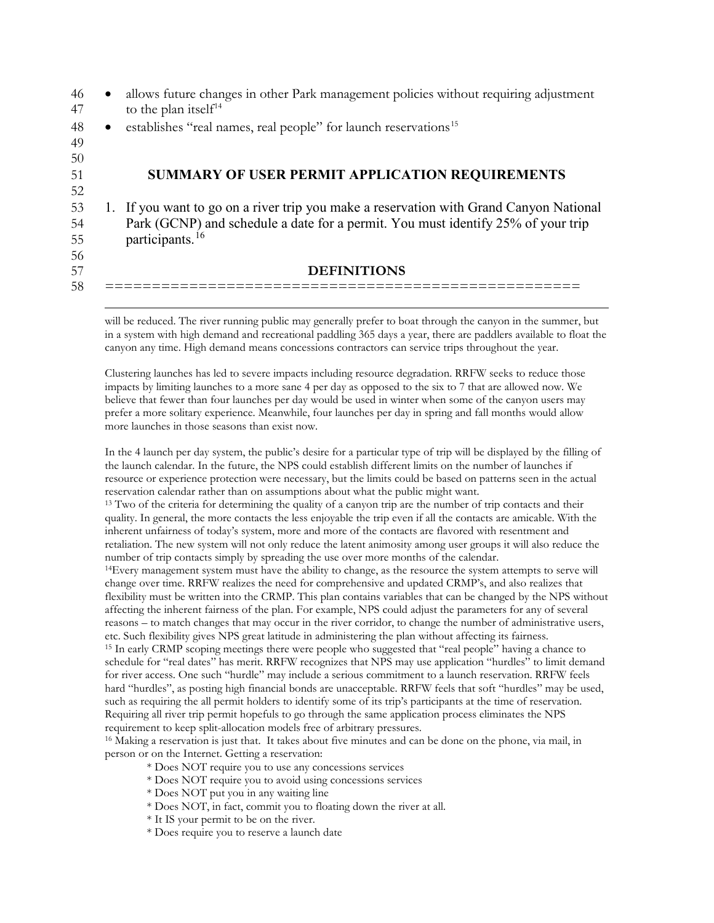| 46<br>47 | allows future changes in other Park management policies without requiring adjustment<br>to the plan itself <sup>14</sup> |
|----------|--------------------------------------------------------------------------------------------------------------------------|
| 48       | establishes "real names, real people" for launch reservations <sup>15</sup>                                              |
| 49       |                                                                                                                          |
| 50       |                                                                                                                          |
| 51       | SUMMARY OF USER PERMIT APPLICATION REQUIREMENTS                                                                          |
| 52       |                                                                                                                          |
| 53       | 1. If you want to go on a river trip you make a reservation with Grand Canyon National                                   |
| 54       | Park (GCNP) and schedule a date for a permit. You must identify 25% of your trip                                         |
| 55       | participants. <sup>16</sup>                                                                                              |
| 56       |                                                                                                                          |
| 57       | <b>DEFINITIONS</b>                                                                                                       |
| 58       |                                                                                                                          |

 will be reduced. The river running public may generally prefer to boat through the canyon in the summer, but in a system with high demand and recreational paddling 365 days a year, there are paddlers available to float the canyon any time. High demand means concessions contractors can service trips throughout the year.

Clustering launches has led to severe impacts including resource degradation. RRFW seeks to reduce those impacts by limiting launches to a more sane 4 per day as opposed to the six to 7 that are allowed now. We believe that fewer than four launches per day would be used in winter when some of the canyon users may prefer a more solitary experience. Meanwhile, four launches per day in spring and fall months would allow more launches in those seasons than exist now.

In the 4 launch per day system, the public's desire for a particular type of trip will be displayed by the filling of the launch calendar. In the future, the NPS could establish different limits on the number of launches if resource or experience protection were necessary, but the limits could be based on patterns seen in the actual reservation calendar rather than on assumptions about what the public might want.

<sup>13</sup> Two of the criteria for determining the quality of a canyon trip are the number of trip contacts and their quality. In general, the more contacts the less enjoyable the trip even if all the contacts are amicable. With the inherent unfairness of today's system, more and more of the contacts are flavored with resentment and retaliation. The new system will not only reduce the latent animosity among user groups it will also reduce the number of trip contacts simply by spreading the use over more months of the calendar.

<span id="page-2-0"></span>14Every management system must have the ability to change, as the resource the system attempts to serve will change over time. RRFW realizes the need for comprehensive and updated CRMP's, and also realizes that flexibility must be written into the CRMP. This plan contains variables that can be changed by the NPS without affecting the inherent fairness of the plan. For example, NPS could adjust the parameters for any of several reasons – to match changes that may occur in the river corridor, to change the number of administrative users, etc. Such flexibility gives NPS great latitude in administering the plan without affecting its fairness.

<span id="page-2-1"></span><sup>15</sup> In early CRMP scoping meetings there were people who suggested that "real people" having a chance to schedule for "real dates" has merit. RRFW recognizes that NPS may use application "hurdles" to limit demand for river access. One such "hurdle" may include a serious commitment to a launch reservation. RRFW feels hard "hurdles", as posting high financial bonds are unacceptable. RRFW feels that soft "hurdles" may be used, such as requiring the all permit holders to identify some of its trip's participants at the time of reservation. Requiring all river trip permit hopefuls to go through the same application process eliminates the NPS requirement to keep split-allocation models free of arbitrary pressures.

<span id="page-2-2"></span><sup>16</sup> Making a reservation is just that. It takes about five minutes and can be done on the phone, via mail, in person or on the Internet. Getting a reservation:

- \* Does NOT require you to use any concessions services
- \* Does NOT require you to avoid using concessions services
- \* Does NOT put you in any waiting line
- \* Does NOT, in fact, commit you to floating down the river at all.
- \* It IS your permit to be on the river.
- \* Does require you to reserve a launch date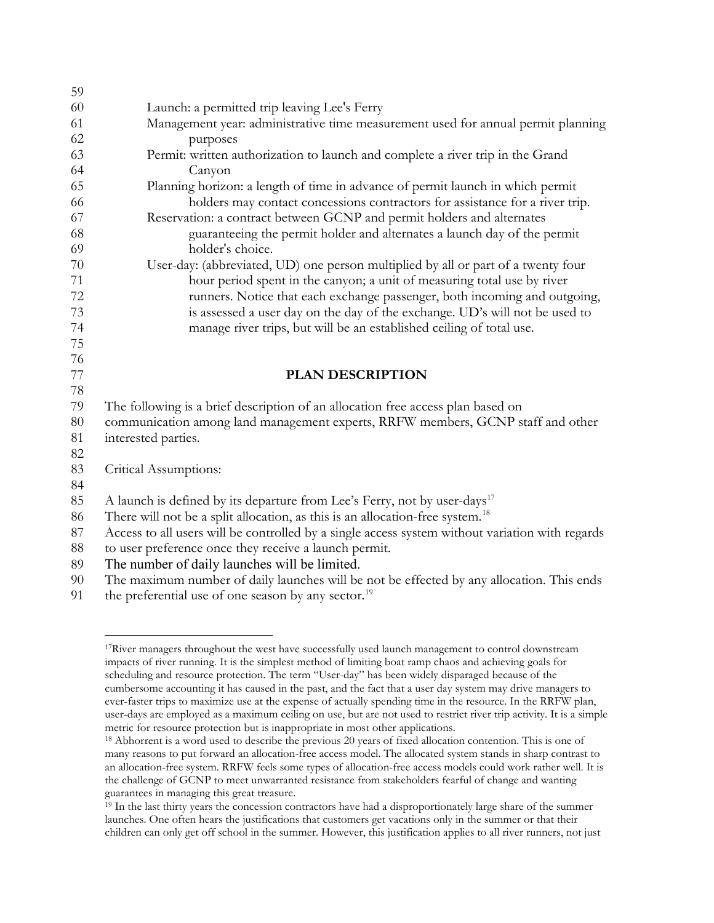| 59       |                                                                                                 |  |  |
|----------|-------------------------------------------------------------------------------------------------|--|--|
| 60       | Launch: a permitted trip leaving Lee's Ferry                                                    |  |  |
| 61       | Management year: administrative time measurement used for annual permit planning                |  |  |
| 62       | purposes                                                                                        |  |  |
| 63       | Permit: written authorization to launch and complete a river trip in the Grand                  |  |  |
| 64       | Canyon                                                                                          |  |  |
| 65       | Planning horizon: a length of time in advance of permit launch in which permit                  |  |  |
| 66       | holders may contact concessions contractors for assistance for a river trip.                    |  |  |
| 67       | Reservation: a contract between GCNP and permit holders and alternates                          |  |  |
| 68       | guaranteeing the permit holder and alternates a launch day of the permit                        |  |  |
| 69       | holder's choice.                                                                                |  |  |
| 70       | User-day: (abbreviated, UD) one person multiplied by all or part of a twenty four               |  |  |
| 71       | hour period spent in the canyon; a unit of measuring total use by river                         |  |  |
| 72       | runners. Notice that each exchange passenger, both incoming and outgoing,                       |  |  |
| 73       | is assessed a user day on the day of the exchange. UD's will not be used to                     |  |  |
| 74       | manage river trips, but will be an established ceiling of total use.                            |  |  |
| 75       |                                                                                                 |  |  |
| 76<br>77 | <b>PLAN DESCRIPTION</b>                                                                         |  |  |
| 78       |                                                                                                 |  |  |
| 79       | The following is a brief description of an allocation free access plan based on                 |  |  |
| $80\,$   | communication among land management experts, RRFW members, GCNP staff and other                 |  |  |
| 81       | interested parties.                                                                             |  |  |
| 82       |                                                                                                 |  |  |
| 83       | Critical Assumptions:                                                                           |  |  |
| 84       |                                                                                                 |  |  |
| 85       | A launch is defined by its departure from Lee's Ferry, not by user-days <sup>17</sup>           |  |  |
| 86       | There will not be a split allocation, as this is an allocation-free system. <sup>18</sup>       |  |  |
| 87       | Access to all users will be controlled by a single access system without variation with regards |  |  |
| $88\,$   | to user preference once they receive a launch permit.                                           |  |  |
| 89       | The number of daily launches will be limited.                                                   |  |  |
| 90       | The maximum number of daily launches will be not be effected by any allocation. This ends       |  |  |
| 91       | the preferential use of one season by any sector. <sup>19</sup>                                 |  |  |
|          |                                                                                                 |  |  |

<span id="page-3-0"></span><sup>&</sup>lt;sup>17</sup>River managers throughout the west have successfully used launch management to control downstream impacts of river running. It is the simplest method of limiting boat ramp chaos and achieving goals for scheduling and resource protection. The term "User-day" has been widely disparaged because of the cumbersome accounting it has caused in the past, and the fact that a user day system may drive managers to ever-faster trips to maximize use at the expense of actually spending time in the resource. In the RRFW plan, user-days are employed as a maximum ceiling on use, but are not used to restrict river trip activity. It is a simple metric for resource protection but is inappropriate in most other applications.<br><sup>18</sup> Abhorrent is a word used to describe the previous 20 years of fixed allocation contention. This is one of

<span id="page-3-1"></span>many reasons to put forward an allocation-free access model. The allocated system stands in sharp contrast to an allocation-free system. RRFW feels some types of allocation-free access models could work rather well. It is the challenge of GCNP to meet unwarranted resistance from stakeholders fearful of change and wanting guarantees in managing this great treasure.

<span id="page-3-2"></span><sup>&</sup>lt;sup>19</sup> In the last thirty years the concession contractors have had a disproportionately large share of the summer launches. One often hears the justifications that customers get vacations only in the summer or that their children can only get off school in the summer. However, this justification applies to all river runners, not just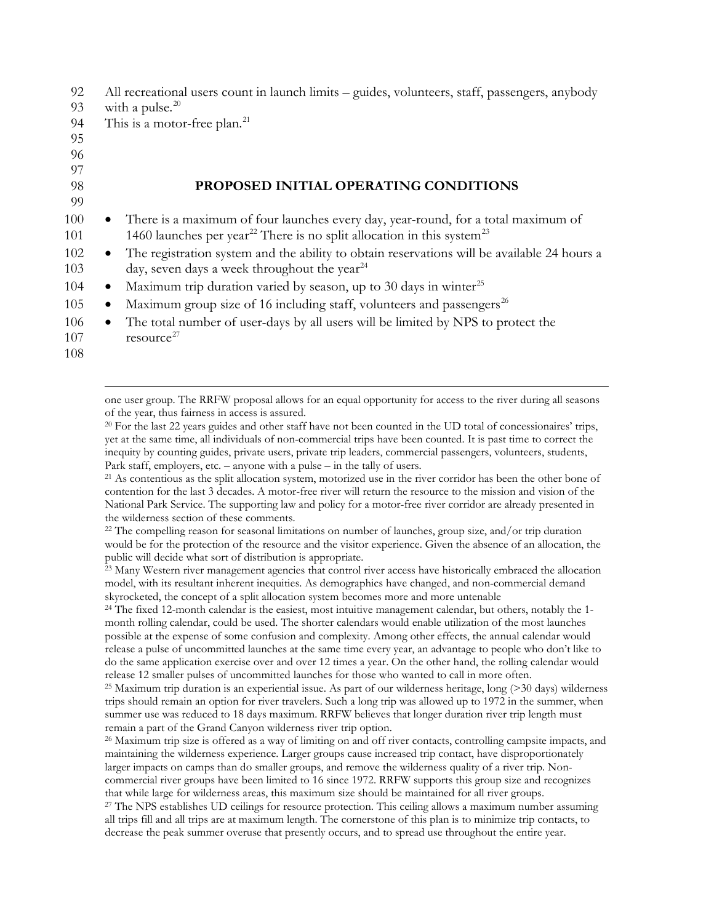| 92  | All recreational users count in launch limits - guides, volunteers, staff, passengers, anybody           |  |
|-----|----------------------------------------------------------------------------------------------------------|--|
| 93  | with a pulse. $20$                                                                                       |  |
| 94  | This is a motor-free plan. <sup>21</sup>                                                                 |  |
| 95  |                                                                                                          |  |
| 96  |                                                                                                          |  |
| 97  |                                                                                                          |  |
| 98  | PROPOSED INITIAL OPERATING CONDITIONS                                                                    |  |
| 99  |                                                                                                          |  |
| 100 | There is a maximum of four launches every day, year-round, for a total maximum of<br>$\bullet$           |  |
| 101 | 1460 launches per year <sup>22</sup> There is no split allocation in this system <sup>23</sup>           |  |
| 102 | The registration system and the ability to obtain reservations will be available 24 hours a<br>$\bullet$ |  |
| 103 | day, seven days a week throughout the year <sup>24</sup>                                                 |  |
| 104 | Maximum trip duration varied by season, up to 30 days in winter <sup>25</sup><br>$\bullet$               |  |
| 105 | Maximum group size of 16 including staff, volunteers and passengers <sup>26</sup><br>$\bullet$           |  |
| 106 | The total number of user-days by all users will be limited by NPS to protect the<br>$\bullet$            |  |
| 107 | $resource^{27}$                                                                                          |  |
| 108 |                                                                                                          |  |

 one user group. The RRFW proposal allows for an equal opportunity for access to the river during all seasons of the year, thus fairness in access is assured.

<span id="page-4-0"></span> $^{20}$  For the last 22 years guides and other staff have not been counted in the UD total of concessionaires' trips, yet at the same time, all individuals of non-commercial trips have been counted. It is past time to correct the inequity by counting guides, private users, private trip leaders, commercial passengers, volunteers, students, Park staff, employers, etc. – anyone with a pulse – in the tally of users.

<span id="page-4-1"></span><sup>21</sup> As contentious as the split allocation system, motorized use in the river corridor has been the other bone of contention for the last 3 decades. A motor-free river will return the resource to the mission and vision of the National Park Service. The supporting law and policy for a motor-free river corridor are already presented in the wilderness section of these comments.

<span id="page-4-2"></span><sup>22</sup> The compelling reason for seasonal limitations on number of launches, group size, and/or trip duration would be for the protection of the resource and the visitor experience. Given the absence of an allocation, the public will decide what sort of distribution is appropriate.

<span id="page-4-3"></span><sup>23</sup> Many Western river management agencies that control river access have historically embraced the allocation model, with its resultant inherent inequities. As demographics have changed, and non-commercial demand skyrocketed, the concept of a split allocation system becomes more and more untenable

<span id="page-4-4"></span><sup>24</sup> The fixed 12-month calendar is the easiest, most intuitive management calendar, but others, notably the 1month rolling calendar, could be used. The shorter calendars would enable utilization of the most launches possible at the expense of some confusion and complexity. Among other effects, the annual calendar would release a pulse of uncommitted launches at the same time every year, an advantage to people who don't like to do the same application exercise over and over 12 times a year. On the other hand, the rolling calendar would release 12 smaller pulses of uncommitted launches for those who wanted to call in more often.

<span id="page-4-5"></span><sup>25</sup> Maximum trip duration is an experiential issue. As part of our wilderness heritage, long  $($ >30 days) wilderness trips should remain an option for river travelers. Such a long trip was allowed up to 1972 in the summer, when summer use was reduced to 18 days maximum. RRFW believes that longer duration river trip length must remain a part of the Grand Canyon wilderness river trip option.

<span id="page-4-6"></span><sup>26</sup> Maximum trip size is offered as a way of limiting on and off river contacts, controlling campsite impacts, and maintaining the wilderness experience. Larger groups cause increased trip contact, have disproportionately larger impacts on camps than do smaller groups, and remove the wilderness quality of a river trip. Noncommercial river groups have been limited to 16 since 1972. RRFW supports this group size and recognizes that while large for wilderness areas, this maximum size should be maintained for all river groups.

<span id="page-4-7"></span><sup>27</sup> The NPS establishes UD ceilings for resource protection. This ceiling allows a maximum number assuming all trips fill and all trips are at maximum length. The cornerstone of this plan is to minimize trip contacts, to decrease the peak summer overuse that presently occurs, and to spread use throughout the entire year.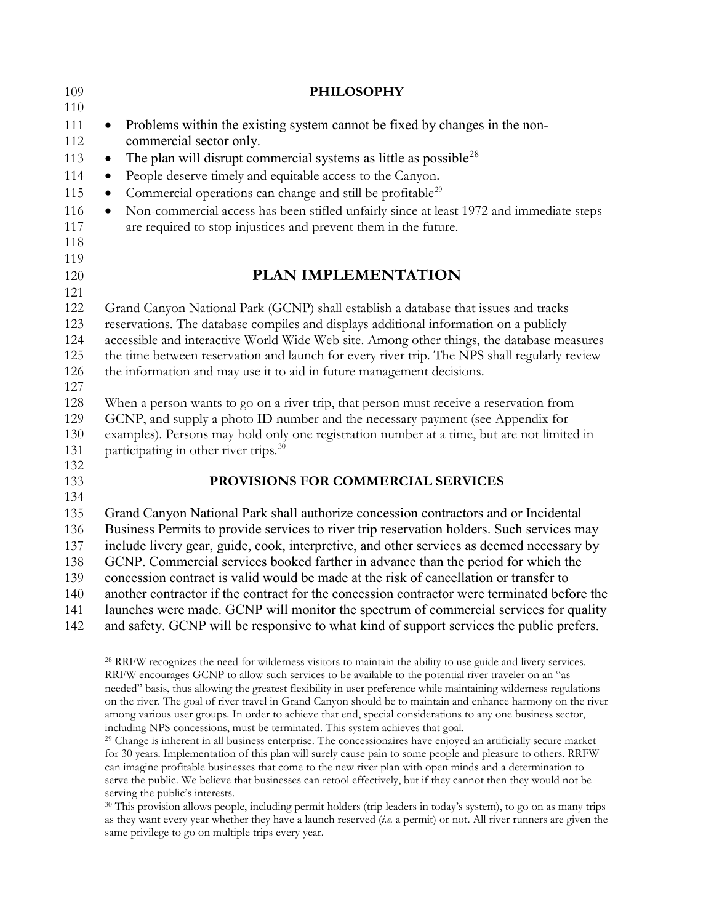| 109        | <b>PHILOSOPHY</b>                                                                                    |  |  |
|------------|------------------------------------------------------------------------------------------------------|--|--|
| 110        |                                                                                                      |  |  |
| 111        | Problems within the existing system cannot be fixed by changes in the non-<br>$\bullet$              |  |  |
| 112        | commercial sector only.                                                                              |  |  |
| 113        | The plan will disrupt commercial systems as little as possible <sup>28</sup><br>$\bullet$            |  |  |
| 114        | People deserve timely and equitable access to the Canyon.<br>$\bullet$                               |  |  |
| 115        | Commercial operations can change and still be profitable <sup>29</sup><br>$\bullet$                  |  |  |
| 116        | Non-commercial access has been stifled unfairly since at least 1972 and immediate steps<br>$\bullet$ |  |  |
| 117        | are required to stop injustices and prevent them in the future.                                      |  |  |
| 118        |                                                                                                      |  |  |
| 119        |                                                                                                      |  |  |
| 120        | <b>PLAN IMPLEMENTATION</b>                                                                           |  |  |
| 121        |                                                                                                      |  |  |
| 122        | Grand Canyon National Park (GCNP) shall establish a database that issues and tracks                  |  |  |
| 123        | reservations. The database compiles and displays additional information on a publicly                |  |  |
| 124        | accessible and interactive World Wide Web site. Among other things, the database measures            |  |  |
| 125        | the time between reservation and launch for every river trip. The NPS shall regularly review         |  |  |
| 126<br>127 | the information and may use it to aid in future management decisions.                                |  |  |
| 128        | When a person wants to go on a river trip, that person must receive a reservation from               |  |  |
| 129        | GCNP, and supply a photo ID number and the necessary payment (see Appendix for                       |  |  |
| 130        | examples). Persons may hold only one registration number at a time, but are not limited in           |  |  |
| 131        | participating in other river trips. <sup>30</sup>                                                    |  |  |
| 132        |                                                                                                      |  |  |
| 133        | PROVISIONS FOR COMMERCIAL SERVICES                                                                   |  |  |
| 134        |                                                                                                      |  |  |
| 135        | Grand Canyon National Park shall authorize concession contractors and or Incidental                  |  |  |
| 136        | Business Permits to provide services to river trip reservation holders. Such services may            |  |  |
| 137        | include livery gear, guide, cook, interpretive, and other services as deemed necessary by            |  |  |
| 138        | GCNP. Commercial services booked farther in advance than the period for which the                    |  |  |
| 139        | concession contract is valid would be made at the risk of cancellation or transfer to                |  |  |
| 140        | another contractor if the contract for the concession contractor were terminated before the          |  |  |
| 141        | launches were made. GCNP will monitor the spectrum of commercial services for quality                |  |  |
| 142        | and safety. GCNP will be responsive to what kind of support services the public prefers.             |  |  |

<span id="page-5-0"></span> <sup>28</sup> RRFW recognizes the need for wilderness visitors to maintain the ability to use guide and livery services. RRFW encourages GCNP to allow such services to be available to the potential river traveler on an "as needed" basis, thus allowing the greatest flexibility in user preference while maintaining wilderness regulations on the river. The goal of river travel in Grand Canyon should be to maintain and enhance harmony on the river among various user groups. In order to achieve that end, special considerations to any one business sector, including NPS concessions, must be terminated. This system achieves that goal.

<span id="page-5-1"></span><sup>&</sup>lt;sup>29</sup> Change is inherent in all business enterprise. The concessionaires have enjoyed an artificially secure market for 30 years. Implementation of this plan will surely cause pain to some people and pleasure to others. RRFW can imagine profitable businesses that come to the new river plan with open minds and a determination to serve the public. We believe that businesses can retool effectively, but if they cannot then they would not be serving the public's interests.

<span id="page-5-2"></span><sup>&</sup>lt;sup>30</sup> This provision allows people, including permit holders (trip leaders in today's system), to go on as many trips as they want every year whether they have a launch reserved (*i.e.* a permit) or not. All river runners are given the same privilege to go on multiple trips every year.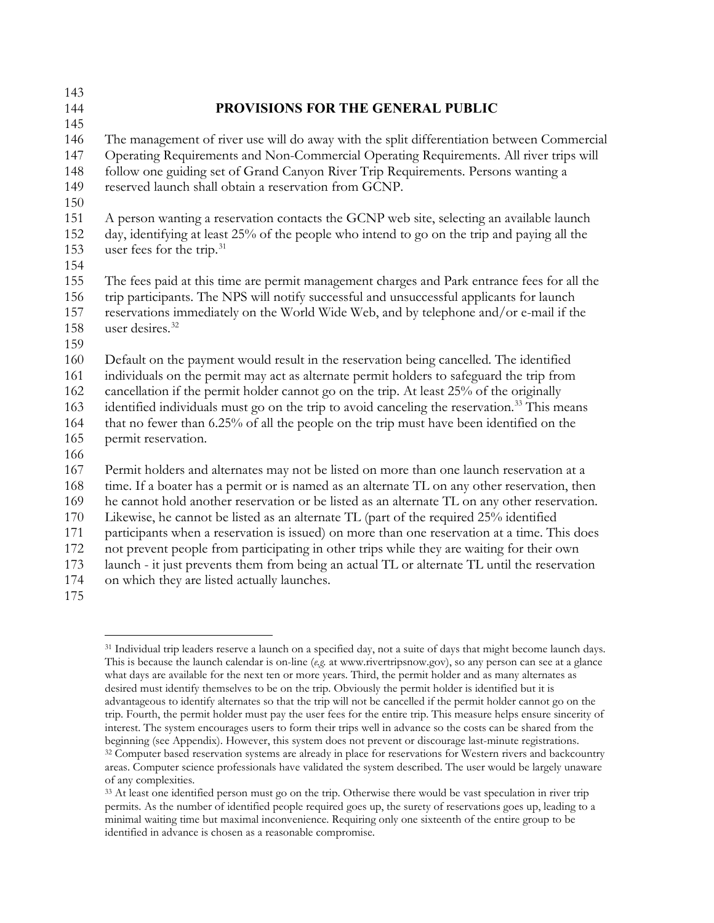- **PROVISIONS FOR THE GENERAL PUBLIC** The management of river use will do away with the split differentiation between Commercial Operating Requirements and Non-Commercial Operating Requirements. All river trips will follow one guiding set of Grand Canyon River Trip Requirements. Persons wanting a reserved launch shall obtain a reservation from GCNP. A person wanting a reservation contacts the GCNP web site, selecting an available launch day, identifying at least 25% of the people who intend to go on the trip and paying all the 153 user fees for the trip. The fees paid at this time are permit management charges and Park entrance fees for all the trip participants. The NPS will notify successful and unsuccessful applicants for launch reservations immediately on the World Wide Web, and by telephone and/or e-mail if the 158 user desires. Default on the payment would result in the reservation being cancelled. The identified individuals on the permit may act as alternate permit holders to safeguard the trip from cancellation if the permit holder cannot go on the trip. At least 25% of the originally 163 identified individuals must go on the trip to avoid canceling the reservation.<sup>33</sup> This means that no fewer than 6.25% of all the people on the trip must have been identified on the permit reservation. Permit holders and alternates may not be listed on more than one launch reservation at a time. If a boater has a permit or is named as an alternate TL on any other reservation, then he cannot hold another reservation or be listed as an alternate TL on any other reservation. Likewise, he cannot be listed as an alternate TL (part of the required 25% identified participants when a reservation is issued) on more than one reservation at a time. This does not prevent people from participating in other trips while they are waiting for their own launch - it just prevents them from being an actual TL or alternate TL until the reservation on which they are listed actually launches.
- <span id="page-6-0"></span>

<sup>&</sup>lt;sup>31</sup> Individual trip leaders reserve a launch on a specified day, not a suite of days that might become launch days. This is because the launch calendar is on-line (*e.g.* at www.rivertripsnow.gov), so any person can see at a glance what days are available for the next ten or more years. Third, the permit holder and as many alternates as desired must identify themselves to be on the trip. Obviously the permit holder is identified but it is advantageous to identify alternates so that the trip will not be cancelled if the permit holder cannot go on the trip. Fourth, the permit holder must pay the user fees for the entire trip. This measure helps ensure sincerity of interest. The system encourages users to form their trips well in advance so the costs can be shared from the beginning (see Appendix). However, this system does not prevent or discourage last-minute registrations. <sup>32</sup> Computer based reservation systems are already in place for reservations for Western rivers and backcountry

<span id="page-6-1"></span>areas. Computer science professionals have validated the system described. The user would be largely unaware of any complexities.

<span id="page-6-2"></span><sup>&</sup>lt;sup>33</sup> At least one identified person must go on the trip. Otherwise there would be vast speculation in river trip permits. As the number of identified people required goes up, the surety of reservations goes up, leading to a minimal waiting time but maximal inconvenience. Requiring only one sixteenth of the entire group to be identified in advance is chosen as a reasonable compromise.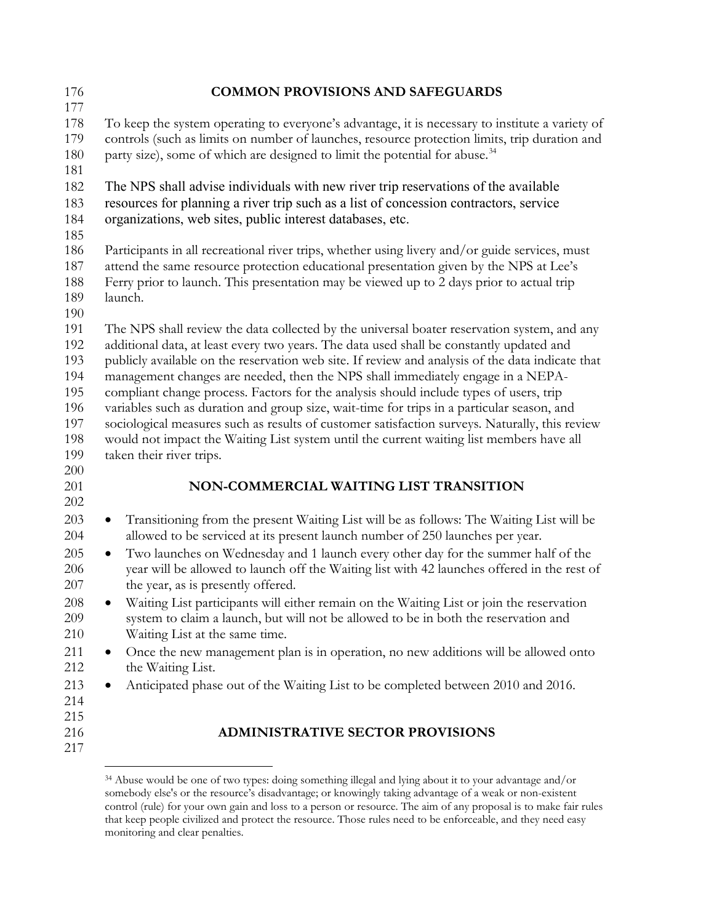| 176        | <b>COMMON PROVISIONS AND SAFEGUARDS</b>                                                                                                                                                          |  |  |
|------------|--------------------------------------------------------------------------------------------------------------------------------------------------------------------------------------------------|--|--|
| 177        |                                                                                                                                                                                                  |  |  |
| 178<br>179 | To keep the system operating to everyone's advantage, it is necessary to institute a variety of<br>controls (such as limits on number of launches, resource protection limits, trip duration and |  |  |
| 180        | party size), some of which are designed to limit the potential for abuse. <sup>34</sup>                                                                                                          |  |  |
| 181        |                                                                                                                                                                                                  |  |  |
| 182        | The NPS shall advise individuals with new river trip reservations of the available                                                                                                               |  |  |
| 183        | resources for planning a river trip such as a list of concession contractors, service                                                                                                            |  |  |
| 184        | organizations, web sites, public interest databases, etc.                                                                                                                                        |  |  |
| 185        |                                                                                                                                                                                                  |  |  |
| 186        | Participants in all recreational river trips, whether using livery and/or guide services, must                                                                                                   |  |  |
| 187        | attend the same resource protection educational presentation given by the NPS at Lee's                                                                                                           |  |  |
| 188        | Ferry prior to launch. This presentation may be viewed up to 2 days prior to actual trip                                                                                                         |  |  |
| 189        | launch.                                                                                                                                                                                          |  |  |
| 190        |                                                                                                                                                                                                  |  |  |
| 191        | The NPS shall review the data collected by the universal boater reservation system, and any                                                                                                      |  |  |
| 192        | additional data, at least every two years. The data used shall be constantly updated and                                                                                                         |  |  |
| 193        | publicly available on the reservation web site. If review and analysis of the data indicate that                                                                                                 |  |  |
| 194        | management changes are needed, then the NPS shall immediately engage in a NEPA-                                                                                                                  |  |  |
| 195        | compliant change process. Factors for the analysis should include types of users, trip                                                                                                           |  |  |
| 196        | variables such as duration and group size, wait-time for trips in a particular season, and                                                                                                       |  |  |
| 197        | sociological measures such as results of customer satisfaction surveys. Naturally, this review                                                                                                   |  |  |
| 198<br>199 | would not impact the Waiting List system until the current waiting list members have all<br>taken their river trips.                                                                             |  |  |
| 200        |                                                                                                                                                                                                  |  |  |
| 201        | NON-COMMERCIAL WAITING LIST TRANSITION                                                                                                                                                           |  |  |
| 202        |                                                                                                                                                                                                  |  |  |
| 203        | Transitioning from the present Waiting List will be as follows: The Waiting List will be                                                                                                         |  |  |
| 204        | allowed to be serviced at its present launch number of 250 launches per year.                                                                                                                    |  |  |
| 205        | Two launches on Wednesday and 1 launch every other day for the summer half of the                                                                                                                |  |  |
| 206        | year will be allowed to launch off the Waiting list with 42 launches offered in the rest of                                                                                                      |  |  |
| 207        | the year, as is presently offered.                                                                                                                                                               |  |  |
| 208        | Waiting List participants will either remain on the Waiting List or join the reservation                                                                                                         |  |  |
| 209        | system to claim a launch, but will not be allowed to be in both the reservation and                                                                                                              |  |  |
| 210        | Waiting List at the same time.                                                                                                                                                                   |  |  |
| 211        | Once the new management plan is in operation, no new additions will be allowed onto                                                                                                              |  |  |
| 212        | the Waiting List.                                                                                                                                                                                |  |  |
| 213        | Anticipated phase out of the Waiting List to be completed between 2010 and 2016.<br>$\bullet$                                                                                                    |  |  |
| 214        |                                                                                                                                                                                                  |  |  |
| 215        |                                                                                                                                                                                                  |  |  |
| 216        | <b>ADMINISTRATIVE SECTOR PROVISIONS</b>                                                                                                                                                          |  |  |
| 217        |                                                                                                                                                                                                  |  |  |

<span id="page-7-0"></span> Abuse would be one of two types: doing something illegal and lying about it to your advantage and/or somebody else's or the resource's disadvantage; or knowingly taking advantage of a weak or non-existent control (rule) for your own gain and loss to a person or resource. The aim of any proposal is to make fair rules that keep people civilized and protect the resource. Those rules need to be enforceable, and they need easy monitoring and clear penalties.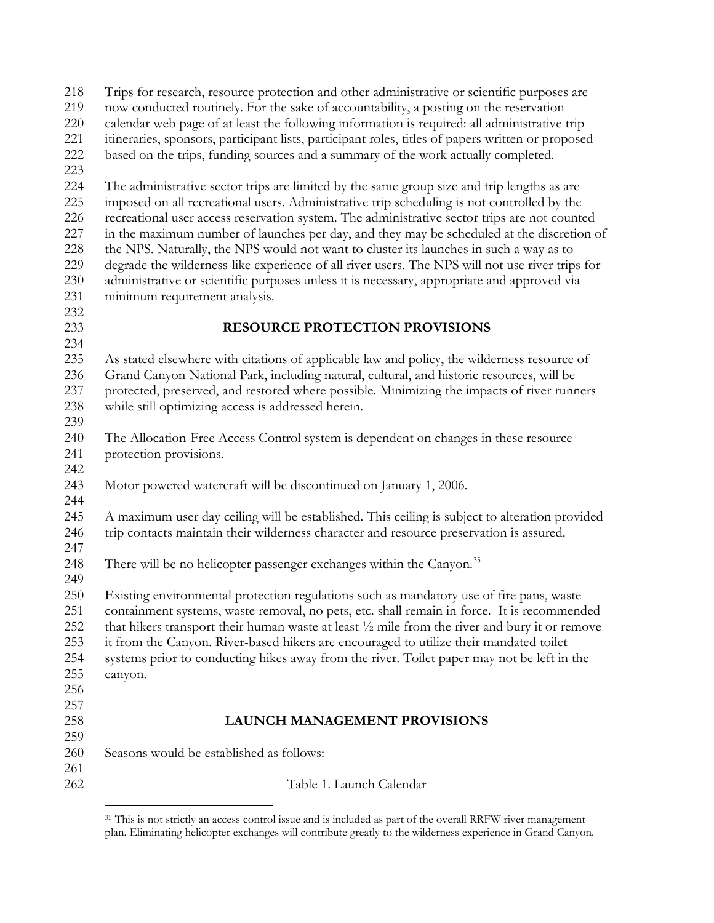| 218<br>219<br>220<br>221<br>222 | Trips for research, resource protection and other administrative or scientific purposes are<br>now conducted routinely. For the sake of accountability, a posting on the reservation<br>calendar web page of at least the following information is required: all administrative trip<br>itineraries, sponsors, participant lists, participant roles, titles of papers written or proposed<br>based on the trips, funding sources and a summary of the work actually completed. |  |  |
|---------------------------------|--------------------------------------------------------------------------------------------------------------------------------------------------------------------------------------------------------------------------------------------------------------------------------------------------------------------------------------------------------------------------------------------------------------------------------------------------------------------------------|--|--|
| 223                             |                                                                                                                                                                                                                                                                                                                                                                                                                                                                                |  |  |
| 224<br>225                      | The administrative sector trips are limited by the same group size and trip lengths as are<br>imposed on all recreational users. Administrative trip scheduling is not controlled by the                                                                                                                                                                                                                                                                                       |  |  |
| 226                             | recreational user access reservation system. The administrative sector trips are not counted                                                                                                                                                                                                                                                                                                                                                                                   |  |  |
| 227<br>228                      | in the maximum number of launches per day, and they may be scheduled at the discretion of<br>the NPS. Naturally, the NPS would not want to cluster its launches in such a way as to                                                                                                                                                                                                                                                                                            |  |  |
| 229                             | degrade the wilderness-like experience of all river users. The NPS will not use river trips for                                                                                                                                                                                                                                                                                                                                                                                |  |  |
| 230<br>231                      | administrative or scientific purposes unless it is necessary, appropriate and approved via<br>minimum requirement analysis.                                                                                                                                                                                                                                                                                                                                                    |  |  |
| 232                             |                                                                                                                                                                                                                                                                                                                                                                                                                                                                                |  |  |
| 233                             | <b>RESOURCE PROTECTION PROVISIONS</b>                                                                                                                                                                                                                                                                                                                                                                                                                                          |  |  |
| 234                             |                                                                                                                                                                                                                                                                                                                                                                                                                                                                                |  |  |
| 235                             | As stated elsewhere with citations of applicable law and policy, the wilderness resource of                                                                                                                                                                                                                                                                                                                                                                                    |  |  |
| 236                             | Grand Canyon National Park, including natural, cultural, and historic resources, will be                                                                                                                                                                                                                                                                                                                                                                                       |  |  |
| 237                             | protected, preserved, and restored where possible. Minimizing the impacts of river runners                                                                                                                                                                                                                                                                                                                                                                                     |  |  |
| 238                             | while still optimizing access is addressed herein.                                                                                                                                                                                                                                                                                                                                                                                                                             |  |  |
| 239                             |                                                                                                                                                                                                                                                                                                                                                                                                                                                                                |  |  |
| 240                             | The Allocation-Free Access Control system is dependent on changes in these resource                                                                                                                                                                                                                                                                                                                                                                                            |  |  |
| 241<br>242                      | protection provisions.                                                                                                                                                                                                                                                                                                                                                                                                                                                         |  |  |
| 243                             | Motor powered watercraft will be discontinued on January 1, 2006.                                                                                                                                                                                                                                                                                                                                                                                                              |  |  |
| 244                             |                                                                                                                                                                                                                                                                                                                                                                                                                                                                                |  |  |
| 245<br>246                      | A maximum user day ceiling will be established. This ceiling is subject to alteration provided<br>trip contacts maintain their wilderness character and resource preservation is assured.                                                                                                                                                                                                                                                                                      |  |  |
| 247<br>248                      | There will be no helicopter passenger exchanges within the Canyon. <sup>35</sup>                                                                                                                                                                                                                                                                                                                                                                                               |  |  |
| 249                             |                                                                                                                                                                                                                                                                                                                                                                                                                                                                                |  |  |
| 250<br>251                      | Existing environmental protection regulations such as mandatory use of fire pans, waste<br>containment systems, waste removal, no pets, etc. shall remain in force. It is recommended                                                                                                                                                                                                                                                                                          |  |  |
| 252                             | that hikers transport their human waste at least $\frac{1}{2}$ mile from the river and bury it or remove                                                                                                                                                                                                                                                                                                                                                                       |  |  |
| 253                             | it from the Canyon. River-based hikers are encouraged to utilize their mandated toilet                                                                                                                                                                                                                                                                                                                                                                                         |  |  |
| 254                             | systems prior to conducting hikes away from the river. Toilet paper may not be left in the                                                                                                                                                                                                                                                                                                                                                                                     |  |  |
| 255                             | canyon.                                                                                                                                                                                                                                                                                                                                                                                                                                                                        |  |  |
| 256                             |                                                                                                                                                                                                                                                                                                                                                                                                                                                                                |  |  |
| 257                             |                                                                                                                                                                                                                                                                                                                                                                                                                                                                                |  |  |
| 258                             | <b>LAUNCH MANAGEMENT PROVISIONS</b>                                                                                                                                                                                                                                                                                                                                                                                                                                            |  |  |
| 259                             |                                                                                                                                                                                                                                                                                                                                                                                                                                                                                |  |  |
| 260<br>261                      | Seasons would be established as follows:                                                                                                                                                                                                                                                                                                                                                                                                                                       |  |  |
| 262                             | Table 1. Launch Calendar                                                                                                                                                                                                                                                                                                                                                                                                                                                       |  |  |
|                                 |                                                                                                                                                                                                                                                                                                                                                                                                                                                                                |  |  |

<span id="page-8-0"></span><sup>&</sup>lt;sup>35</sup> This is not strictly an access control issue and is included as part of the overall RRFW river management plan. Eliminating helicopter exchanges will contribute greatly to the wilderness experience in Grand Canyon.